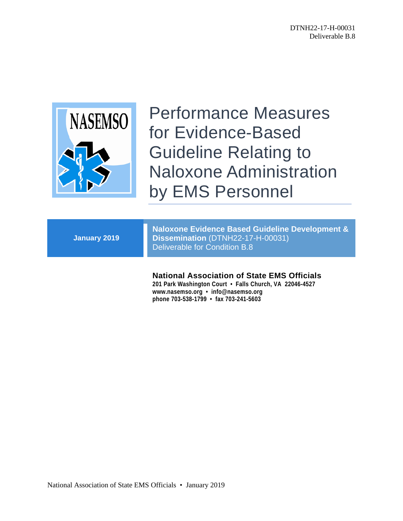

Performance Measures for Evidence-Based Guideline Relating to Naloxone Administration by EMS Personnel

| <b>Naloxone Evidence Based Guideline Development &amp;</b><br>Dissemination (DTNH22-17-H-00031)<br>Deliverable for Condition B.8 |
|----------------------------------------------------------------------------------------------------------------------------------|
|                                                                                                                                  |

## **National Association of State EMS Officials**

**201 Park Washington Court • Falls Church, VA 22046-4527 www.nasemso.org • info@nasemso.org phone 703-538-1799 • fax 703-241-5603**